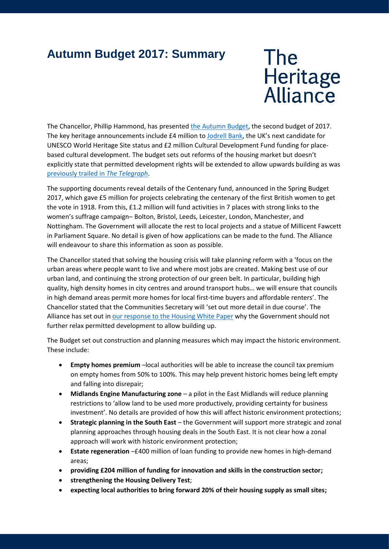## **Autumn Budget 2017: Summary**

The<br>Heritage<br>Alliance

The Chancellor, Phillip Hammond, has presented [the Autumn Budget,](https://www.gov.uk/government/publications/autumn-budget-2017-documents) the second budget of 2017. The key heritage announcements include £4 million to [Jodrell Bank,](http://www.jodrellbank.net/worldheritagesitestatus/) the UK's next candidate for UNESCO World Heritage Site status and £2 million Cultural Development Fund funding for placebased cultural development. The budget sets out reforms of the housing market but doesn't explicitly state that permitted development rights will be extended to allow upwards building as was [previously trailed in](http://www.telegraph.co.uk/news/2017/11/12/budget-home-owners-will-allowed-extend-height-property-without/?utm_campaign=crowdfire&utm_content=crowdfire&utm_medium=social&utm_source=twitter#157042161-tw) *The Telegraph*.

The supporting documents reveal details of the Centenary fund, announced in the Spring Budget 2017, which gave £5 million for projects celebrating the centenary of the first British women to get the vote in 1918. From this, £1.2 million will fund activities in 7 places with strong links to the women's suffrage campaign– Bolton, Bristol, Leeds, Leicester, London, Manchester, and Nottingham. The Government will allocate the rest to local projects and a statue of Millicent Fawcett in Parliament Square. No detail is given of how applications can be made to the fund. The Alliance will endeavour to share this information as soon as possible.

The Chancellor stated that solving the housing crisis will take planning reform with a 'focus on the urban areas where people want to live and where most jobs are created. Making best use of our urban land, and continuing the strong protection of our green belt. In particular, building high quality, high density homes in city centres and around transport hubs… we will ensure that councils in high demand areas permit more homes for local first-time buyers and affordable renters'. The Chancellor stated that the Communities Secretary will 'set out more detail in due course'. The Alliance has set out in our [response to the Housing White Paper](http://www.theheritagealliance.org.uk/tha-website/wp-content/uploads/2017/05/THA-Housing-White-Paper-response.pdf) why the Government should not further relax permitted development to allow building up.

The Budget set out construction and planning measures which may impact the historic environment. These include:

- **Empty homes premium** –local authorities will be able to increase the council tax premium on empty homes from 50% to 100%. This may help prevent historic homes being left empty and falling into disrepair;
- **Midlands Engine Manufacturing zone** a pilot in the East Midlands will reduce planning restrictions to 'allow land to be used more productively, providing certainty for business investment'. No details are provided of how this will affect historic environment protections;
- **Strategic planning in the South East** the Government will support more strategic and zonal planning approaches through housing deals in the South East. It is not clear how a zonal approach will work with historic environment protection;
- **Estate regeneration** –£400 million of loan funding to provide new homes in high-demand areas;
- **providing £204 million of funding for innovation and skills in the construction sector;**
- **strengthening the Housing Delivery Test**;
- **expecting local authorities to bring forward 20% of their housing supply as small sites;**